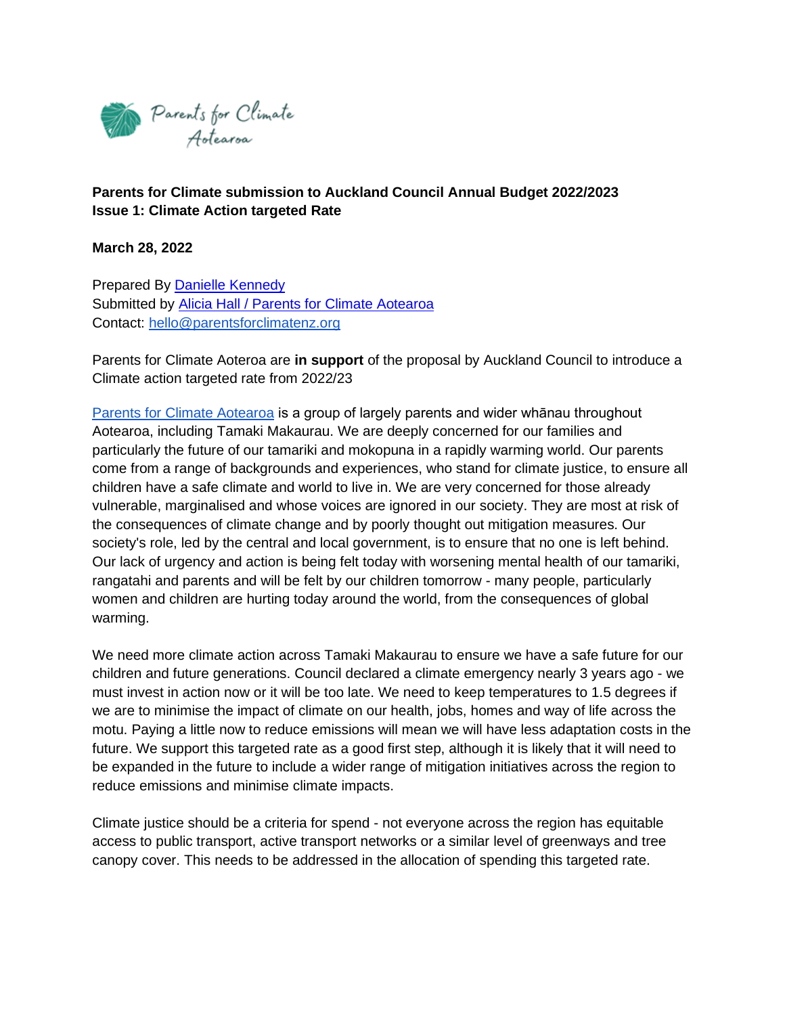

**Parents for Climate submission to Auckland Council Annual Budget 2022/2023 Issue 1: Climate Action targeted Rate**

**March 28, 2022**

Prepared By [Danielle Kennedy](mailto:danielle.kennedy@mfe.govt.nz) Submitted by [Alicia Hall / Parents for Climate Aotearoa](mailto:hello@parentsforclimatenz.org) Contact: [hello@parentsforclimatenz.org](mailto:hello@parentsforclimatenz.org)

Parents for Climate Aoteroa are **in support** of the proposal by Auckland Council to introduce a Climate action targeted rate from 2022/23

[Parents for Climate Aotearoa](https://www.parentsforclimatenz.org/) is a group of largely parents and wider whānau throughout Aotearoa, including Tamaki Makaurau. We are deeply concerned for our families and particularly the future of our tamariki and mokopuna in a rapidly warming world. Our parents come from a range of backgrounds and experiences, who stand for climate justice, to ensure all children have a safe climate and world to live in. We are very concerned for those already vulnerable, marginalised and whose voices are ignored in our society. They are most at risk of the consequences of climate change and by poorly thought out mitigation measures. Our society's role, led by the central and local government, is to ensure that no one is left behind. Our lack of urgency and action is being felt today with worsening mental health of our tamariki, rangatahi and parents and will be felt by our children tomorrow - many people, particularly women and children are hurting today around the world, from the consequences of global warming.

We need more climate action across Tamaki Makaurau to ensure we have a safe future for our children and future generations. Council declared a climate emergency nearly 3 years ago - we must invest in action now or it will be too late. We need to keep temperatures to 1.5 degrees if we are to minimise the impact of climate on our health, jobs, homes and way of life across the motu. Paying a little now to reduce emissions will mean we will have less adaptation costs in the future. We support this targeted rate as a good first step, although it is likely that it will need to be expanded in the future to include a wider range of mitigation initiatives across the region to reduce emissions and minimise climate impacts.

Climate justice should be a criteria for spend - not everyone across the region has equitable access to public transport, active transport networks or a similar level of greenways and tree canopy cover. This needs to be addressed in the allocation of spending this targeted rate.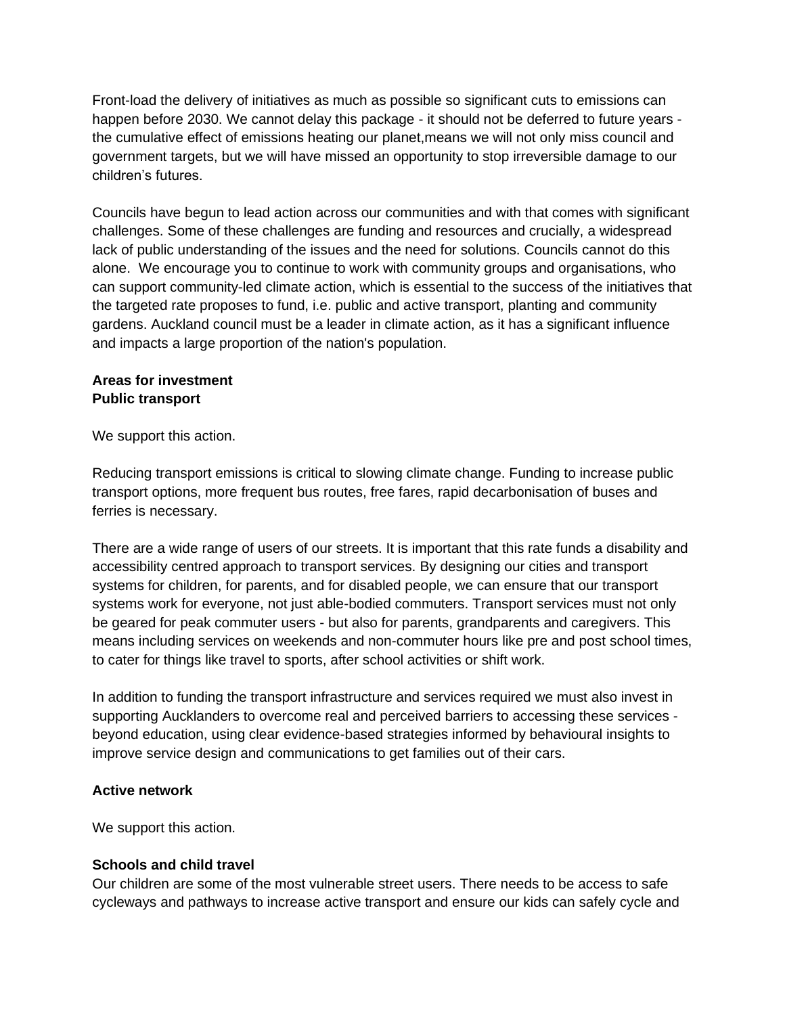Front-load the delivery of initiatives as much as possible so significant cuts to emissions can happen before 2030. We cannot delay this package - it should not be deferred to future years the cumulative effect of emissions heating our planet,means we will not only miss council and government targets, but we will have missed an opportunity to stop irreversible damage to our children's futures.

Councils have begun to lead action across our communities and with that comes with significant challenges. Some of these challenges are funding and resources and crucially, a widespread lack of public understanding of the issues and the need for solutions. Councils cannot do this alone. We encourage you to continue to work with community groups and organisations, who can support community-led climate action, which is essential to the success of the initiatives that the targeted rate proposes to fund, i.e. public and active transport, planting and community gardens. Auckland council must be a leader in climate action, as it has a significant influence and impacts a large proportion of the nation's population.

#### **Areas for investment Public transport**

We support this action.

Reducing transport emissions is critical to slowing climate change. Funding to increase public transport options, more frequent bus routes, free fares, rapid decarbonisation of buses and ferries is necessary.

There are a wide range of users of our streets. It is important that this rate funds a disability and accessibility centred approach to transport services. By designing our cities and transport systems for children, for parents, and for disabled people, we can ensure that our transport systems work for everyone, not just able-bodied commuters. Transport services must not only be geared for peak commuter users - but also for parents, grandparents and caregivers. This means including services on weekends and non-commuter hours like pre and post school times, to cater for things like travel to sports, after school activities or shift work.

In addition to funding the transport infrastructure and services required we must also invest in supporting Aucklanders to overcome real and perceived barriers to accessing these services beyond education, using clear evidence-based strategies informed by behavioural insights to improve service design and communications to get families out of their cars.

# **Active network**

We support this action.

# **Schools and child travel**

Our children are some of the most vulnerable street users. There needs to be access to safe cycleways and pathways to increase active transport and ensure our kids can safely cycle and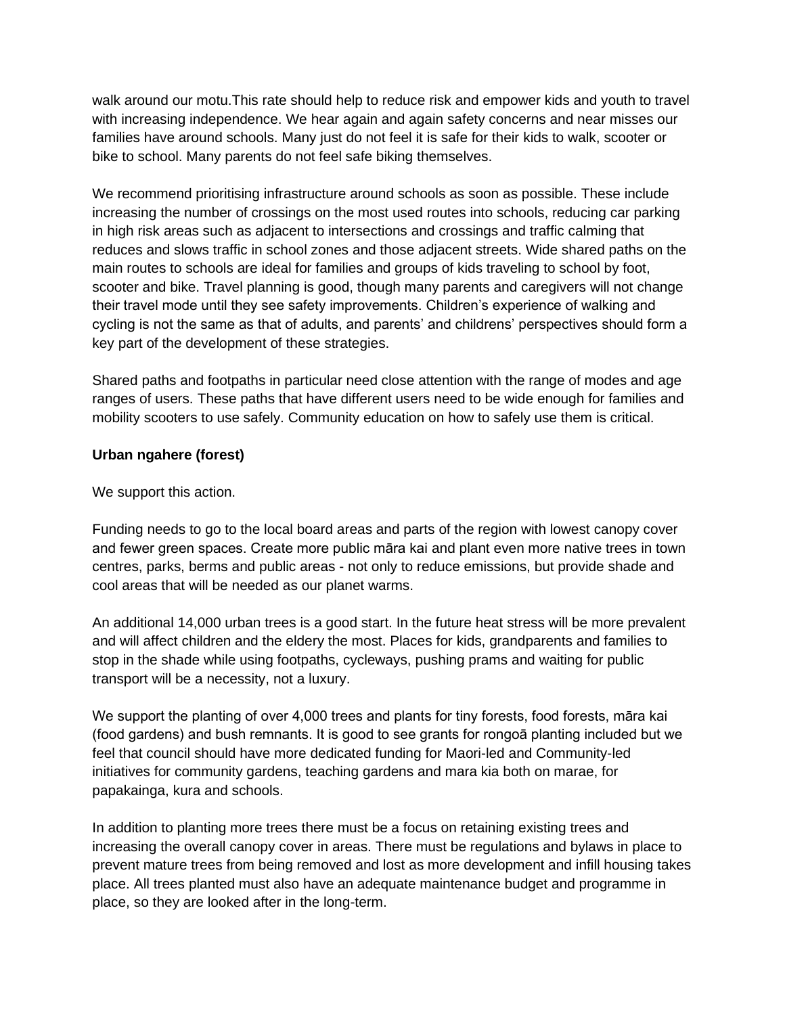walk around our motu.This rate should help to reduce risk and empower kids and youth to travel with increasing independence. We hear again and again safety concerns and near misses our families have around schools. Many just do not feel it is safe for their kids to walk, scooter or bike to school. Many parents do not feel safe biking themselves.

We recommend prioritising infrastructure around schools as soon as possible. These include increasing the number of crossings on the most used routes into schools, reducing car parking in high risk areas such as adjacent to intersections and crossings and traffic calming that reduces and slows traffic in school zones and those adjacent streets. Wide shared paths on the main routes to schools are ideal for families and groups of kids traveling to school by foot, scooter and bike. Travel planning is good, though many parents and caregivers will not change their travel mode until they see safety improvements. Children's experience of walking and cycling is not the same as that of adults, and parents' and childrens' perspectives should form a key part of the development of these strategies.

Shared paths and footpaths in particular need close attention with the range of modes and age ranges of users. These paths that have different users need to be wide enough for families and mobility scooters to use safely. Community education on how to safely use them is critical.

#### **Urban ngahere (forest)**

We support this action.

Funding needs to go to the local board areas and parts of the region with lowest canopy cover and fewer green spaces. Create more public māra kai and plant even more native trees in town centres, parks, berms and public areas - not only to reduce emissions, but provide shade and cool areas that will be needed as our planet warms.

An additional 14,000 urban trees is a good start. In the future heat stress will be more prevalent and will affect children and the eldery the most. Places for kids, grandparents and families to stop in the shade while using footpaths, cycleways, pushing prams and waiting for public transport will be a necessity, not a luxury.

We support the planting of over 4,000 trees and plants for tiny forests, food forests, māra kai (food gardens) and bush remnants. It is good to see grants for rongoā planting included but we feel that council should have more dedicated funding for Maori-led and Community-led initiatives for community gardens, teaching gardens and mara kia both on marae, for papakainga, kura and schools.

In addition to planting more trees there must be a focus on retaining existing trees and increasing the overall canopy cover in areas. There must be regulations and bylaws in place to prevent mature trees from being removed and lost as more development and infill housing takes place. All trees planted must also have an adequate maintenance budget and programme in place, so they are looked after in the long-term.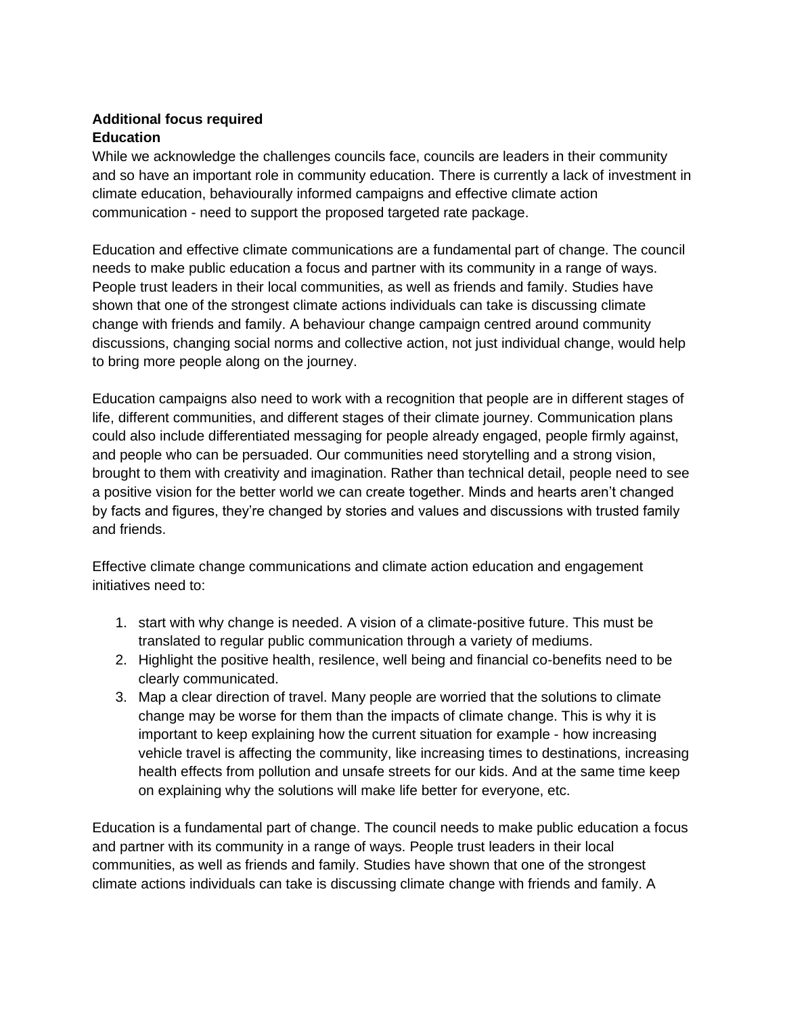# **Additional focus required Education**

While we acknowledge the challenges councils face, councils are leaders in their community and so have an important role in community education. There is currently a lack of investment in climate education, behaviourally informed campaigns and effective climate action communication - need to support the proposed targeted rate package.

Education and effective climate communications are a fundamental part of change. The council needs to make public education a focus and partner with its community in a range of ways. People trust leaders in their local communities, as well as friends and family. Studies have shown that one of the strongest climate actions individuals can take is discussing climate change with friends and family. A behaviour change campaign centred around community discussions, changing social norms and collective action, not just individual change, would help to bring more people along on the journey.

Education campaigns also need to work with a recognition that people are in different stages of life, different communities, and different stages of their climate journey. Communication plans could also include differentiated messaging for people already engaged, people firmly against, and people who can be persuaded. Our communities need storytelling and a strong vision, brought to them with creativity and imagination. Rather than technical detail, people need to see a positive vision for the better world we can create together. Minds and hearts aren't changed by facts and figures, they're changed by stories and values and discussions with trusted family and friends.

Effective climate change communications and climate action education and engagement initiatives need to:

- 1. start with why change is needed. A vision of a climate-positive future. This must be translated to regular public communication through a variety of mediums.
- 2. Highlight the positive health, resilence, well being and financial co-benefits need to be clearly communicated.
- 3. Map a clear direction of travel. Many people are worried that the solutions to climate change may be worse for them than the impacts of climate change. This is why it is important to keep explaining how the current situation for example - how increasing vehicle travel is affecting the community, like increasing times to destinations, increasing health effects from pollution and unsafe streets for our kids. And at the same time keep on explaining why the solutions will make life better for everyone, etc.

Education is a fundamental part of change. The council needs to make public education a focus and partner with its community in a range of ways. People trust leaders in their local communities, as well as friends and family. Studies have shown that one of the strongest climate actions individuals can take is discussing climate change with friends and family. A